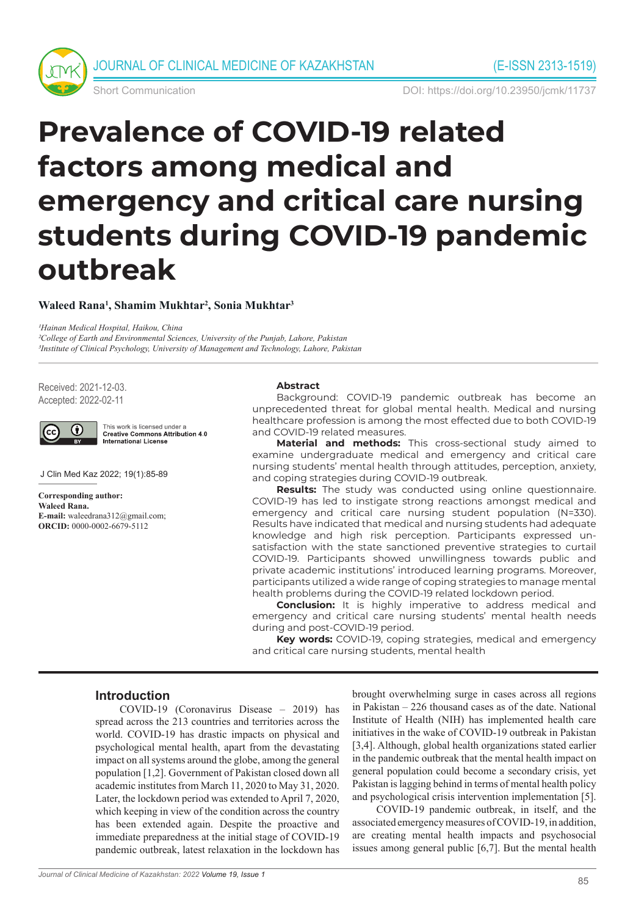

Short Communication DOI: https://doi.org/10.23950/jcmk/11737

# **Prevalence of COVID-19 related factors among medical and emergency and critical care nursing students during COVID-19 pandemic outbreak**

**Waleed Rana1 , Shamim Mukhtar2 , Sonia Mukhtar3**

*1Hainan Medical Hospital, Haikou, China 2College of Earth and Environmental Sciences, University of the Punjab, Lahore, Pakistan 3Institute of Clinical Psychology, University of Management and Technology, Lahore, Pakistan*

Received: 2021-12-03. Accepted: 2022-02-11



This work is licensed under a **Creative Commons Attribution 4.0** International License

J Clin Med Kaz 2022; 19(1):85-89

**Corresponding author: Waleed Rana. E-mail:** waleedrana312@gmail.com; **ORCID:** 0000-0002-6679-5112

#### **Abstract**

Background: COVID-19 pandemic outbreak has become an unprecedented threat for global mental health. Medical and nursing healthcare profession is among the most effected due to both COVID-19 and COVID-19 related measures.

**Material and methods:** This cross-sectional study aimed to examine undergraduate medical and emergency and critical care nursing students' mental health through attitudes, perception, anxiety, and coping strategies during COVID-19 outbreak.

**Results:** The study was conducted using online questionnaire. COVID-19 has led to instigate strong reactions amongst medical and emergency and critical care nursing student population (N=330). Results have indicated that medical and nursing students had adequate knowledge and high risk perception. Participants expressed unsatisfaction with the state sanctioned preventive strategies to curtail COVID-19. Participants showed unwillingness towards public and private academic institutions' introduced learning programs. Moreover, participants utilized a wide range of coping strategies to manage mental health problems during the COVID-19 related lockdown period.

**Conclusion:** It is highly imperative to address medical and emergency and critical care nursing students' mental health needs during and post-COVID-19 period.

**Key words:** COVID-19, coping strategies, medical and emergency and critical care nursing students, mental health

#### **Introduction**

COVID-19 (Coronavirus Disease – 2019) has spread across the 213 countries and territories across the world. COVID-19 has drastic impacts on physical and psychological mental health, apart from the devastating impact on all systems around the globe, among the general population [1,2]. Government of Pakistan closed down all academic institutes from March 11, 2020 to May 31, 2020. Later, the lockdown period was extended to April 7, 2020, which keeping in view of the condition across the country has been extended again. Despite the proactive and immediate preparedness at the initial stage of COVID-19 pandemic outbreak, latest relaxation in the lockdown has brought overwhelming surge in cases across all regions in Pakistan – 226 thousand cases as of the date. National Institute of Health (NIH) has implemented health care initiatives in the wake of COVID-19 outbreak in Pakistan [3,4]. Although, global health organizations stated earlier in the pandemic outbreak that the mental health impact on general population could become a secondary crisis, yet Pakistan is lagging behind in terms of mental health policy and psychological crisis intervention implementation [5].

COVID-19 pandemic outbreak, in itself, and the associated emergency measures of COVID-19, in addition, are creating mental health impacts and psychosocial issues among general public [6,7]. But the mental health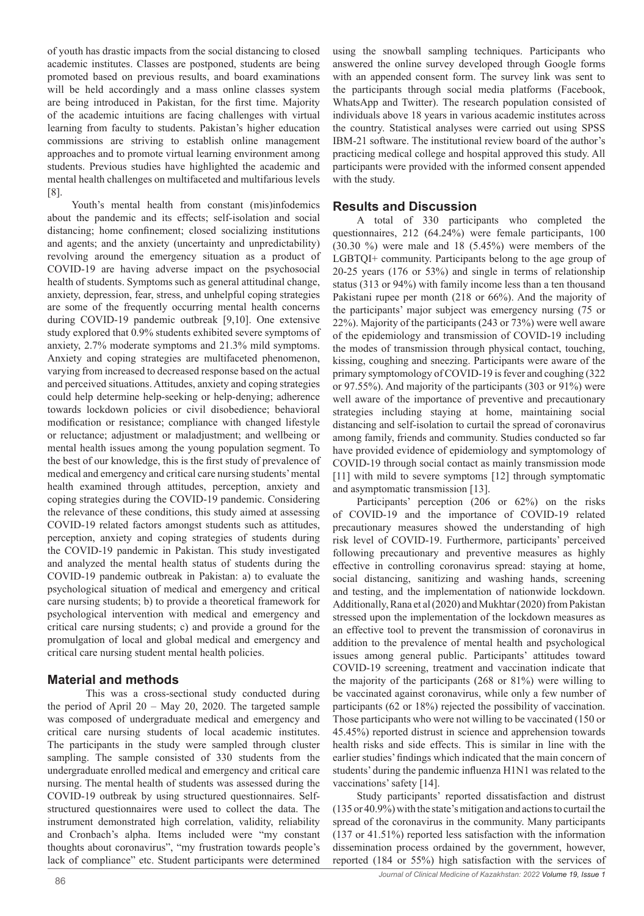of youth has drastic impacts from the social distancing to closed academic institutes. Classes are postponed, students are being promoted based on previous results, and board examinations will be held accordingly and a mass online classes system are being introduced in Pakistan, for the first time. Majority of the academic intuitions are facing challenges with virtual learning from faculty to students. Pakistan's higher education commissions are striving to establish online management approaches and to promote virtual learning environment among students. Previous studies have highlighted the academic and mental health challenges on multifaceted and multifarious levels [8].

Youth's mental health from constant (mis)infodemics about the pandemic and its effects; self-isolation and social distancing; home confinement; closed socializing institutions and agents; and the anxiety (uncertainty and unpredictability) revolving around the emergency situation as a product of COVID-19 are having adverse impact on the psychosocial health of students. Symptoms such as general attitudinal change, anxiety, depression, fear, stress, and unhelpful coping strategies are some of the frequently occurring mental health concerns during COVID-19 pandemic outbreak [9,10]. One extensive study explored that 0.9% students exhibited severe symptoms of anxiety, 2.7% moderate symptoms and 21.3% mild symptoms. Anxiety and coping strategies are multifaceted phenomenon, varying from increased to decreased response based on the actual and perceived situations. Attitudes, anxiety and coping strategies could help determine help-seeking or help-denying; adherence towards lockdown policies or civil disobedience; behavioral modification or resistance; compliance with changed lifestyle or reluctance; adjustment or maladjustment; and wellbeing or mental health issues among the young population segment. To the best of our knowledge, this is the first study of prevalence of medical and emergency and critical care nursing students' mental health examined through attitudes, perception, anxiety and coping strategies during the COVID-19 pandemic. Considering the relevance of these conditions, this study aimed at assessing COVID-19 related factors amongst students such as attitudes, perception, anxiety and coping strategies of students during the COVID-19 pandemic in Pakistan. This study investigated and analyzed the mental health status of students during the COVID-19 pandemic outbreak in Pakistan: a) to evaluate the psychological situation of medical and emergency and critical care nursing students; b) to provide a theoretical framework for psychological intervention with medical and emergency and critical care nursing students; c) and provide a ground for the promulgation of local and global medical and emergency and critical care nursing student mental health policies.

## **Material and methods**

This was a cross-sectional study conducted during the period of April 20 – May 20, 2020. The targeted sample was composed of undergraduate medical and emergency and critical care nursing students of local academic institutes. The participants in the study were sampled through cluster sampling. The sample consisted of 330 students from the undergraduate enrolled medical and emergency and critical care nursing. The mental health of students was assessed during the COVID-19 outbreak by using structured questionnaires. Selfstructured questionnaires were used to collect the data. The instrument demonstrated high correlation, validity, reliability and Cronbach's alpha. Items included were "my constant thoughts about coronavirus", "my frustration towards people's lack of compliance" etc. Student participants were determined using the snowball sampling techniques. Participants who answered the online survey developed through Google forms with an appended consent form. The survey link was sent to the participants through social media platforms (Facebook, WhatsApp and Twitter). The research population consisted of individuals above 18 years in various academic institutes across the country. Statistical analyses were carried out using SPSS IBM-21 software. The institutional review board of the author's practicing medical college and hospital approved this study. All participants were provided with the informed consent appended with the study.

### **Results and Discussion**

A total of 330 participants who completed the questionnaires, 212 (64.24%) were female participants, 100 (30.30 %) were male and 18 (5.45%) were members of the LGBTQI+ community. Participants belong to the age group of 20-25 years (176 or 53%) and single in terms of relationship status (313 or 94%) with family income less than a ten thousand Pakistani rupee per month (218 or 66%). And the majority of the participants' major subject was emergency nursing (75 or 22%). Majority of the participants (243 or 73%) were well aware of the epidemiology and transmission of COVID-19 including the modes of transmission through physical contact, touching, kissing, coughing and sneezing. Participants were aware of the primary symptomology of COVID-19 is fever and coughing (322 or 97.55%). And majority of the participants (303 or 91%) were well aware of the importance of preventive and precautionary strategies including staying at home, maintaining social distancing and self-isolation to curtail the spread of coronavirus among family, friends and community. Studies conducted so far have provided evidence of epidemiology and symptomology of COVID-19 through social contact as mainly transmission mode [11] with mild to severe symptoms [12] through symptomatic and asymptomatic transmission [13].

Participants' perception (206 or 62%) on the risks of COVID-19 and the importance of COVID-19 related precautionary measures showed the understanding of high risk level of COVID-19. Furthermore, participants' perceived following precautionary and preventive measures as highly effective in controlling coronavirus spread: staying at home, social distancing, sanitizing and washing hands, screening and testing, and the implementation of nationwide lockdown. Additionally, Rana et al (2020) and Mukhtar (2020) from Pakistan stressed upon the implementation of the lockdown measures as an effective tool to prevent the transmission of coronavirus in addition to the prevalence of mental health and psychological issues among general public. Participants' attitudes toward COVID-19 screening, treatment and vaccination indicate that the majority of the participants (268 or 81%) were willing to be vaccinated against coronavirus, while only a few number of participants (62 or 18%) rejected the possibility of vaccination. Those participants who were not willing to be vaccinated (150 or 45.45%) reported distrust in science and apprehension towards health risks and side effects. This is similar in line with the earlier studies' findings which indicated that the main concern of students' during the pandemic influenza H1N1 was related to the vaccinations' safety [14].

Study participants' reported dissatisfaction and distrust (135 or 40.9%) with the state's mitigation and actions to curtail the spread of the coronavirus in the community. Many participants (137 or 41.51%) reported less satisfaction with the information dissemination process ordained by the government, however, reported (184 or 55%) high satisfaction with the services of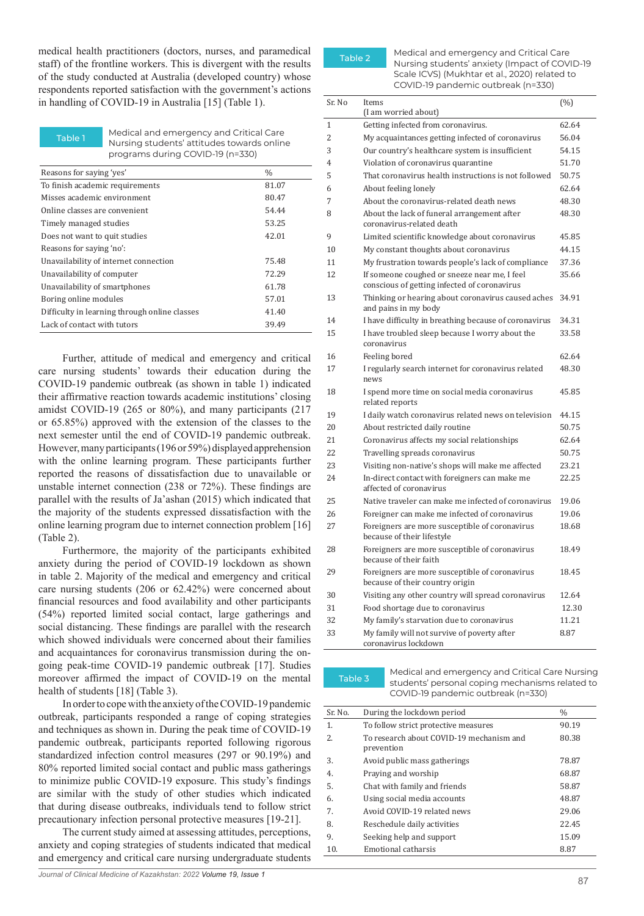medical health practitioners (doctors, nurses, and paramedical staff) of the frontline workers. This is divergent with the results of the study conducted at Australia (developed country) whose respondents reported satisfaction with the government's actions in handling of COVID-19 in Australia [15] (Table 1).

Table 1 Medical and emergency and Critical Care Nursing students' attitudes towards online programs during COVID-19 (n=330)

| Reasons for saying 'yes'                      | $\frac{0}{0}$ |
|-----------------------------------------------|---------------|
| To finish academic requirements               | 81.07         |
| Misses academic environment                   | 80.47         |
| Online classes are convenient                 | 54.44         |
| Timely managed studies                        | 53.25         |
| Does not want to quit studies                 | 42.01         |
| Reasons for saying 'no':                      |               |
| Unavailability of internet connection         | 75.48         |
| Unavailability of computer                    | 72.29         |
| Unavailability of smartphones                 | 61.78         |
| Boring online modules                         | 57.01         |
| Difficulty in learning through online classes | 41.40         |
| Lack of contact with tutors                   | 39.49         |
|                                               |               |

Further, attitude of medical and emergency and critical care nursing students' towards their education during the COVID-19 pandemic outbreak (as shown in table 1) indicated their affirmative reaction towards academic institutions' closing amidst COVID-19 (265 or 80%), and many participants (217 or 65.85%) approved with the extension of the classes to the next semester until the end of COVID-19 pandemic outbreak. However, many participants (196 or 59%) displayed apprehension with the online learning program. These participants further reported the reasons of dissatisfaction due to unavailable or unstable internet connection (238 or 72%). These findings are parallel with the results of Ja'ashan (2015) which indicated that the majority of the students expressed dissatisfaction with the online learning program due to internet connection problem [16] (Table 2).

Furthermore, the majority of the participants exhibited anxiety during the period of COVID-19 lockdown as shown in table 2. Majority of the medical and emergency and critical care nursing students (206 or 62.42%) were concerned about financial resources and food availability and other participants (54%) reported limited social contact, large gatherings and social distancing. These findings are parallel with the research which showed individuals were concerned about their families and acquaintances for coronavirus transmission during the ongoing peak-time COVID-19 pandemic outbreak [17]. Studies moreover affirmed the impact of COVID-19 on the mental health of students [18] (Table 3).

In order to cope with the anxiety of the COVID-19 pandemic outbreak, participants responded a range of coping strategies and techniques as shown in. During the peak time of COVID-19 pandemic outbreak, participants reported following rigorous standardized infection control measures (297 or 90.19%) and 80% reported limited social contact and public mass gatherings to minimize public COVID-19 exposure. This study's findings are similar with the study of other studies which indicated that during disease outbreaks, individuals tend to follow strict precautionary infection personal protective measures [19-21].

The current study aimed at assessing attitudes, perceptions, anxiety and coping strategies of students indicated that medical and emergency and critical care nursing undergraduate students



Table 2 Medical and emergency and Critical Care Nursing students' anxiety (Impact of COVID-19 Scale ICVS) (Mukhtar et al., 2020) related to COVID-19 pandemic outbreak (n=330)

| Sr. No | Items                                                                                        | (%)   |
|--------|----------------------------------------------------------------------------------------------|-------|
|        | (I am worried about)                                                                         |       |
| 1      | Getting infected from coronavirus.                                                           | 62.64 |
| 2      | My acquaintances getting infected of coronavirus                                             | 56.04 |
| 3      | Our country's healthcare system is insufficient                                              | 54.15 |
| 4      | Violation of coronavirus quarantine                                                          | 51.70 |
| 5      | That coronavirus health instructions is not followed                                         | 50.75 |
| 6      | About feeling lonely                                                                         | 62.64 |
| 7      | About the coronavirus-related death news                                                     | 48.30 |
| 8      | About the lack of funeral arrangement after<br>coronavirus-related death                     | 48.30 |
| 9      | Limited scientific knowledge about coronavirus                                               | 45.85 |
| 10     | My constant thoughts about coronavirus                                                       | 44.15 |
| 11     | My frustration towards people's lack of compliance                                           | 37.36 |
| 12     | If someone coughed or sneeze near me, I feel<br>conscious of getting infected of coronavirus | 35.66 |
| 13     | Thinking or hearing about coronavirus caused aches<br>and pains in my body                   | 34.91 |
| 14     | I have difficulty in breathing because of coronavirus                                        | 34.31 |
| 15     | I have troubled sleep because I worry about the<br>coronavirus                               | 33.58 |
| 16     | Feeling bored                                                                                | 62.64 |
| 17     | I regularly search internet for coronavirus related<br>news                                  | 48.30 |
| 18     | I spend more time on social media coronavirus<br>related reports                             | 45.85 |
| 19     | I daily watch coronavirus related news on television                                         | 44.15 |
| 20     | About restricted daily routine                                                               | 50.75 |
| 21     | Coronavirus affects my social relationships                                                  | 62.64 |
| 22     | Travelling spreads coronavirus                                                               | 50.75 |
| 23     | Visiting non-native's shops will make me affected                                            | 23.21 |
| 24     | In-direct contact with foreigners can make me<br>affected of coronavirus                     | 22.25 |
| 25     | Native traveler can make me infected of coronavirus                                          | 19.06 |
| 26     | Foreigner can make me infected of coronavirus                                                | 19.06 |
| 27     | Foreigners are more susceptible of coronavirus<br>because of their lifestyle                 | 18.68 |
| 28     | Foreigners are more susceptible of coronavirus<br>because of their faith                     | 18.49 |
| 29     | Foreigners are more susceptible of coronavirus<br>because of their country origin            | 18.45 |
| 30     | Visiting any other country will spread coronavirus                                           | 12.64 |
| 31     | Food shortage due to coronavirus                                                             | 12.30 |
| 32     | My family's starvation due to coronavirus                                                    | 11.21 |
| 33     | My family will not survive of poverty after<br>coronavirus lockdown                          | 8.87  |

Table 3 Medical and emergency and Critical Care Nursing students' personal coping mechanisms related to COVID-19 pandemic outbreak (n=330)

| Sr. No. | During the lockdown period                             | $\frac{0}{0}$ |
|---------|--------------------------------------------------------|---------------|
| 1.      | To follow strict protective measures                   | 90.19         |
| 2.5     | To research about COVID-19 mechanism and<br>prevention | 80.38         |
| 3.      | Avoid public mass gatherings                           | 78.87         |
| 4.      | Praying and worship                                    | 68.87         |
| 5.      | Chat with family and friends                           | 58.87         |
| 6.      | Using social media accounts                            | 48.87         |
| 7.      | Avoid COVID-19 related news                            | 29.06         |
| 8.      | Reschedule daily activities                            | 22.45         |
| 9.      | Seeking help and support                               | 15.09         |
| 10.     | Emotional catharsis                                    | 8.87          |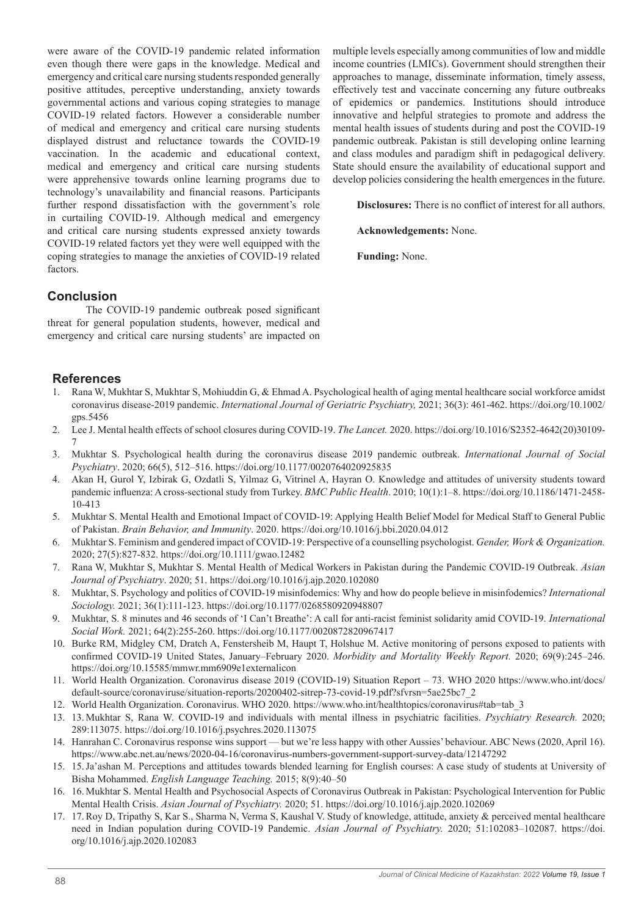were aware of the COVID-19 pandemic related information even though there were gaps in the knowledge. Medical and emergency and critical care nursing students responded generally positive attitudes, perceptive understanding, anxiety towards governmental actions and various coping strategies to manage COVID-19 related factors. However a considerable number of medical and emergency and critical care nursing students displayed distrust and reluctance towards the COVID-19 vaccination. In the academic and educational context, medical and emergency and critical care nursing students were apprehensive towards online learning programs due to technology's unavailability and financial reasons. Participants further respond dissatisfaction with the government's role in curtailing COVID-19. Although medical and emergency and critical care nursing students expressed anxiety towards COVID-19 related factors yet they were well equipped with the coping strategies to manage the anxieties of COVID-19 related factors.

multiple levels especially among communities of low and middle income countries (LMICs). Government should strengthen their approaches to manage, disseminate information, timely assess, effectively test and vaccinate concerning any future outbreaks of epidemics or pandemics. Institutions should introduce innovative and helpful strategies to promote and address the mental health issues of students during and post the COVID-19 pandemic outbreak. Pakistan is still developing online learning and class modules and paradigm shift in pedagogical delivery. State should ensure the availability of educational support and develop policies considering the health emergences in the future.

**Disclosures:** There is no conflict of interest for all authors.

**Acknowledgements:** None.

**Funding:** None.

## **Conclusion**

The COVID-19 pandemic outbreak posed significant threat for general population students, however, medical and emergency and critical care nursing students' are impacted on

## **References**

- 1. Rana W, Mukhtar S, Mukhtar S, Mohiuddin G, & Ehmad A. Psychological health of aging mental healthcare social workforce amidst coronavirus disease-2019 pandemic. *International Journal of Geriatric Psychiatry,* 2021; 36(3): 461-462. https://doi.org/10.1002/ gps.5456
- 2. Lee J. Mental health effects of school closures during COVID-19. *The Lancet.* 2020. https://doi.org/10.1016/S2352-4642(20)30109- 7
- 3. Mukhtar S. Psychological health during the coronavirus disease 2019 pandemic outbreak. *International Journal of Social Psychiatry*. 2020; 66(5), 512–516. https://doi.org/10.1177/0020764020925835
- 4. Akan H, Gurol Y, Izbirak G, Ozdatli S, Yilmaz G, Vitrinel A, Hayran O. Knowledge and attitudes of university students toward pandemic influenza: A cross-sectional study from Turkey. *BMC Public Health*. 2010; 10(1):1–8. https://doi.org/10.1186/1471-2458- 10-413
- 5. Mukhtar S. Mental Health and Emotional Impact of COVID-19: Applying Health Belief Model for Medical Staff to General Public of Pakistan. *Brain Behavior, and Immunity*. 2020. https://doi.org/10.1016/j.bbi.2020.04.012
- 6. Mukhtar S. Feminism and gendered impact of COVID-19: Perspective of a counselling psychologist. *Gender, Work & Organization.*  2020; 27(5):827-832. https://doi.org/10.1111/gwao.12482
- 7. Rana W, Mukhtar S, Mukhtar S. Mental Health of Medical Workers in Pakistan during the Pandemic COVID-19 Outbreak. *Asian Journal of Psychiatry*. 2020; 51. https://doi.org/10.1016/j.ajp.2020.102080
- 8. Mukhtar, S. Psychology and politics of COVID-19 misinfodemics: Why and how do people believe in misinfodemics? *International Sociology.* 2021; 36(1):111-123. https://doi.org/10.1177/0268580920948807
- 9. Mukhtar, S. 8 minutes and 46 seconds of 'I Can't Breathe': A call for anti-racist feminist solidarity amid COVID-19. *International Social Work.* 2021; 64(2):255-260. https://doi.org/10.1177/0020872820967417
- 10. Burke RM, Midgley CM, Dratch A, Fenstersheib M, Haupt T, Holshue M. Active monitoring of persons exposed to patients with confirmed COVID-19 United States, January–February 2020. *Morbidity and Mortality Weekly Report.* 2020; 69(9):245–246. https://doi.org/10.15585/mmwr.mm6909e1externalicon
- 11. World Health Organization. Coronavirus disease 2019 (COVID-19) Situation Report 73. WHO 2020 https://www.who.int/docs/ default-source/coronaviruse/situation-reports/20200402-sitrep-73-covid-19.pdf?sfvrsn=5ae25bc7\_2
- 12. World Health Organization. Coronavirus. WHO 2020. https://www.who.int/healthtopics/coronavirus#tab=tab\_3
- 13. 13. Mukhtar S, Rana W. COVID-19 and individuals with mental illness in psychiatric facilities. *Psychiatry Research.* 2020; 289:113075. https://doi.org/10.1016/j.psychres.2020.113075
- 14. Hanrahan C. Coronavirus response wins support but we're less happy with other Aussies' behaviour. ABC News (2020, April 16). https://www.abc.net.au/news/2020-04-16/coronavirus-numbers-government-support-survey-data/12147292
- 15. 15.Ja'ashan M. Perceptions and attitudes towards blended learning for English courses: A case study of students at University of Bisha Mohammed. *English Language Teaching.* 2015; 8(9):40–50
- 16. 16. Mukhtar S. Mental Health and Psychosocial Aspects of Coronavirus Outbreak in Pakistan: Psychological Intervention for Public Mental Health Crisis. *Asian Journal of Psychiatry.* 2020; 51. https://doi.org/10.1016/j.ajp.2020.102069
- 17. 17.Roy D, Tripathy S, Kar S., Sharma N, Verma S, Kaushal V. Study of knowledge, attitude, anxiety & perceived mental healthcare need in Indian population during COVID-19 Pandemic. *Asian Journal of Psychiatry.* 2020; 51:102083–102087. https://doi. org/10.1016/j.ajp.2020.102083